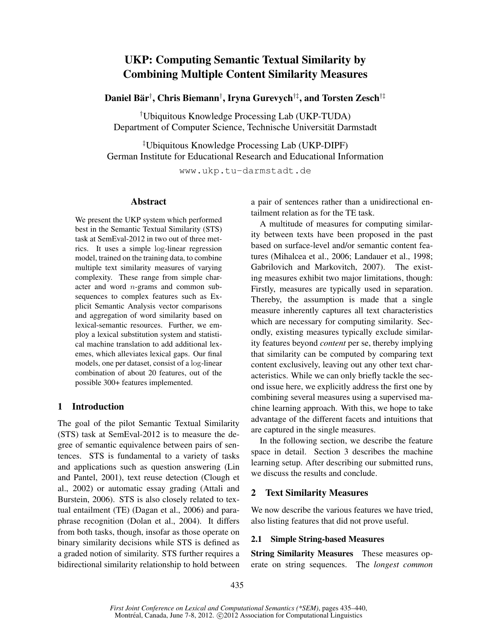# UKP: Computing Semantic Textual Similarity by Combining Multiple Content Similarity Measures

Daniel Bär†, Chris Biemann†, Iryna Gurevych†‡, and Torsten Zesch†‡

†Ubiquitous Knowledge Processing Lab (UKP-TUDA) Department of Computer Science, Technische Universität Darmstadt

‡Ubiquitous Knowledge Processing Lab (UKP-DIPF) German Institute for Educational Research and Educational Information

www.ukp.tu-darmstadt.de

### Abstract

We present the UKP system which performed best in the Semantic Textual Similarity (STS) task at SemEval-2012 in two out of three metrics. It uses a simple log-linear regression model, trained on the training data, to combine multiple text similarity measures of varying complexity. These range from simple character and word  $n$ -grams and common subsequences to complex features such as Explicit Semantic Analysis vector comparisons and aggregation of word similarity based on lexical-semantic resources. Further, we employ a lexical substitution system and statistical machine translation to add additional lexemes, which alleviates lexical gaps. Our final models, one per dataset, consist of a log-linear combination of about 20 features, out of the possible 300+ features implemented.

# 1 Introduction

The goal of the pilot Semantic Textual Similarity (STS) task at SemEval-2012 is to measure the degree of semantic equivalence between pairs of sentences. STS is fundamental to a variety of tasks and applications such as question answering (Lin and Pantel, 2001), text reuse detection (Clough et al., 2002) or automatic essay grading (Attali and Burstein, 2006). STS is also closely related to textual entailment (TE) (Dagan et al., 2006) and paraphrase recognition (Dolan et al., 2004). It differs from both tasks, though, insofar as those operate on binary similarity decisions while STS is defined as a graded notion of similarity. STS further requires a bidirectional similarity relationship to hold between a pair of sentences rather than a unidirectional entailment relation as for the TE task.

A multitude of measures for computing similarity between texts have been proposed in the past based on surface-level and/or semantic content features (Mihalcea et al., 2006; Landauer et al., 1998; Gabrilovich and Markovitch, 2007). The existing measures exhibit two major limitations, though: Firstly, measures are typically used in separation. Thereby, the assumption is made that a single measure inherently captures all text characteristics which are necessary for computing similarity. Secondly, existing measures typically exclude similarity features beyond *content* per se, thereby implying that similarity can be computed by comparing text content exclusively, leaving out any other text characteristics. While we can only briefly tackle the second issue here, we explicitly address the first one by combining several measures using a supervised machine learning approach. With this, we hope to take advantage of the different facets and intuitions that are captured in the single measures.

In the following section, we describe the feature space in detail. Section 3 describes the machine learning setup. After describing our submitted runs, we discuss the results and conclude.

# 2 Text Similarity Measures

We now describe the various features we have tried, also listing features that did not prove useful.

### 2.1 Simple String-based Measures

String Similarity Measures These measures operate on string sequences. The *longest common*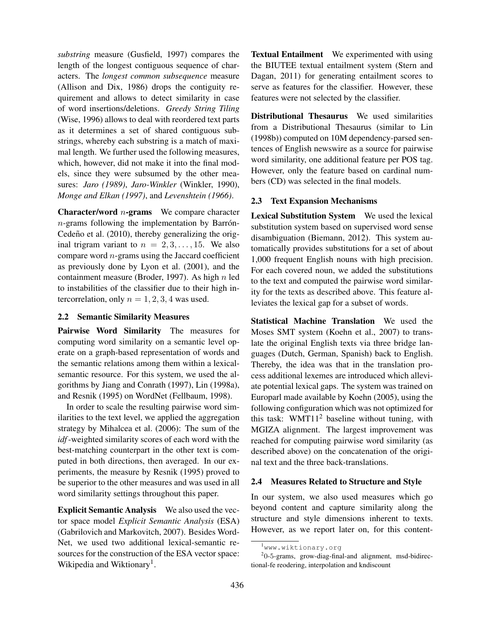*substring* measure (Gusfield, 1997) compares the length of the longest contiguous sequence of characters. The *longest common subsequence* measure (Allison and Dix, 1986) drops the contiguity requirement and allows to detect similarity in case of word insertions/deletions. *Greedy String Tiling* (Wise, 1996) allows to deal with reordered text parts as it determines a set of shared contiguous substrings, whereby each substring is a match of maximal length. We further used the following measures, which, however, did not make it into the final models, since they were subsumed by the other measures: *Jaro (1989)*, *Jaro-Winkler* (Winkler, 1990), *Monge and Elkan (1997)*, and *Levenshtein (1966)*.

**Character/word**  $n$ **-grams** We compare character  $n$ -grams following the implementation by Barrón-Cedeño et al.  $(2010)$ , thereby generalizing the original trigram variant to  $n = 2, 3, \ldots, 15$ . We also compare word  $n$ -grams using the Jaccard coefficient as previously done by Lyon et al. (2001), and the containment measure (Broder, 1997). As high  $n$  led to instabilities of the classifier due to their high intercorrelation, only  $n = 1, 2, 3, 4$  was used.

### 2.2 Semantic Similarity Measures

Pairwise Word Similarity The measures for computing word similarity on a semantic level operate on a graph-based representation of words and the semantic relations among them within a lexicalsemantic resource. For this system, we used the algorithms by Jiang and Conrath (1997), Lin (1998a), and Resnik (1995) on WordNet (Fellbaum, 1998).

In order to scale the resulting pairwise word similarities to the text level, we applied the aggregation strategy by Mihalcea et al. (2006): The sum of the *idf*-weighted similarity scores of each word with the best-matching counterpart in the other text is computed in both directions, then averaged. In our experiments, the measure by Resnik (1995) proved to be superior to the other measures and was used in all word similarity settings throughout this paper.

Explicit Semantic Analysis We also used the vector space model *Explicit Semantic Analysis* (ESA) (Gabrilovich and Markovitch, 2007). Besides Word-Net, we used two additional lexical-semantic resources for the construction of the ESA vector space: Wikipedia and Wiktionary<sup>1</sup>.

Textual Entailment We experimented with using the BIUTEE textual entailment system (Stern and Dagan, 2011) for generating entailment scores to serve as features for the classifier. However, these features were not selected by the classifier.

Distributional Thesaurus We used similarities from a Distributional Thesaurus (similar to Lin (1998b)) computed on 10M dependency-parsed sentences of English newswire as a source for pairwise word similarity, one additional feature per POS tag. However, only the feature based on cardinal numbers (CD) was selected in the final models.

# 2.3 Text Expansion Mechanisms

Lexical Substitution System We used the lexical substitution system based on supervised word sense disambiguation (Biemann, 2012). This system automatically provides substitutions for a set of about 1,000 frequent English nouns with high precision. For each covered noun, we added the substitutions to the text and computed the pairwise word similarity for the texts as described above. This feature alleviates the lexical gap for a subset of words.

Statistical Machine Translation We used the Moses SMT system (Koehn et al., 2007) to translate the original English texts via three bridge languages (Dutch, German, Spanish) back to English. Thereby, the idea was that in the translation process additional lexemes are introduced which alleviate potential lexical gaps. The system was trained on Europarl made available by Koehn (2005), using the following configuration which was not optimized for this task: WMT11<sup>2</sup> baseline without tuning, with MGIZA alignment. The largest improvement was reached for computing pairwise word similarity (as described above) on the concatenation of the original text and the three back-translations.

# 2.4 Measures Related to Structure and Style

In our system, we also used measures which go beyond content and capture similarity along the structure and style dimensions inherent to texts. However, as we report later on, for this content-

<sup>&</sup>lt;sup>1</sup>www.wiktionary.org

 $20-5$ -grams, grow-diag-final-and alignment, msd-bidirectional-fe reodering, interpolation and kndiscount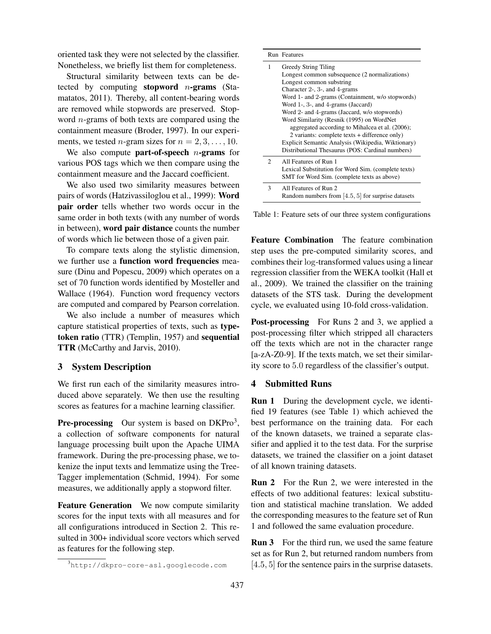oriented task they were not selected by the classifier. Nonetheless, we briefly list them for completeness.

Structural similarity between texts can be detected by computing stopword  $n$ -grams (Stamatatos, 2011). Thereby, all content-bearing words are removed while stopwords are preserved. Stopword  $n$ -grams of both texts are compared using the containment measure (Broder, 1997). In our experiments, we tested *n*-gram sizes for  $n = 2, 3, \ldots, 10$ .

We also compute **part-of-speech** *n*-grams for various POS tags which we then compare using the containment measure and the Jaccard coefficient.

We also used two similarity measures between pairs of words (Hatzivassiloglou et al., 1999): Word pair order tells whether two words occur in the same order in both texts (with any number of words in between), word pair distance counts the number of words which lie between those of a given pair.

To compare texts along the stylistic dimension, we further use a function word frequencies measure (Dinu and Popescu, 2009) which operates on a set of 70 function words identified by Mosteller and Wallace (1964). Function word frequency vectors are computed and compared by Pearson correlation.

We also include a number of measures which capture statistical properties of texts, such as typetoken ratio (TTR) (Templin, 1957) and sequential TTR (McCarthy and Jarvis, 2010).

#### 3 System Description

We first run each of the similarity measures introduced above separately. We then use the resulting scores as features for a machine learning classifier.

**Pre-processing** Our system is based on  $DKPro<sup>3</sup>$ , a collection of software components for natural language processing built upon the Apache UIMA framework. During the pre-processing phase, we tokenize the input texts and lemmatize using the Tree-Tagger implementation (Schmid, 1994). For some measures, we additionally apply a stopword filter.

Feature Generation We now compute similarity scores for the input texts with all measures and for all configurations introduced in Section 2. This resulted in 300+ individual score vectors which served as features for the following step.

|                             | Run Features                                                   |
|-----------------------------|----------------------------------------------------------------|
| 1                           | Greedy String Tiling                                           |
|                             | Longest common subsequence (2 normalizations)                  |
|                             | Longest common substring                                       |
|                             | Character $2-$ , $3-$ , and $4-grams$                          |
|                             | Word 1- and 2-grams (Containment, w/o stopwords)               |
|                             | Word 1-, 3-, and 4-grams (Jaccard)                             |
|                             | Word 2- and 4-grams (Jaccard, w/o stopwords)                   |
|                             | Word Similarity (Resnik (1995) on WordNet                      |
|                             | aggregated according to Mihalcea et al. (2006);                |
|                             | 2 variants: complete texts + difference only)                  |
|                             | Explicit Semantic Analysis (Wikipedia, Wiktionary)             |
|                             | Distributional Thesaurus (POS: Cardinal numbers)               |
| $\mathcal{D}_{\mathcal{L}}$ | All Features of Run 1                                          |
|                             | Lexical Substitution for Word Sim. (complete texts)            |
|                             | SMT for Word Sim. (complete texts as above)                    |
| 3                           | All Features of Run 2                                          |
|                             | Random numbers from $\vert 4.5, 5 \vert$ for surprise datasets |

Table 1: Feature sets of our three system configurations

Feature Combination The feature combination step uses the pre-computed similarity scores, and combines their log-transformed values using a linear regression classifier from the WEKA toolkit (Hall et al., 2009). We trained the classifier on the training datasets of the STS task. During the development cycle, we evaluated using 10-fold cross-validation.

Post-processing For Runs 2 and 3, we applied a post-processing filter which stripped all characters off the texts which are not in the character range [a-zA-Z0-9]. If the texts match, we set their similarity score to 5.0 regardless of the classifier's output.

#### 4 Submitted Runs

Run 1 During the development cycle, we identified 19 features (see Table 1) which achieved the best performance on the training data. For each of the known datasets, we trained a separate classifier and applied it to the test data. For the surprise datasets, we trained the classifier on a joint dataset of all known training datasets.

Run 2 For the Run 2, we were interested in the effects of two additional features: lexical substitution and statistical machine translation. We added the corresponding measures to the feature set of Run 1 and followed the same evaluation procedure.

**Run 3** For the third run, we used the same feature set as for Run 2, but returned random numbers from [4.5, 5] for the sentence pairs in the surprise datasets.

<sup>3</sup>http://dkpro-core-asl.googlecode.com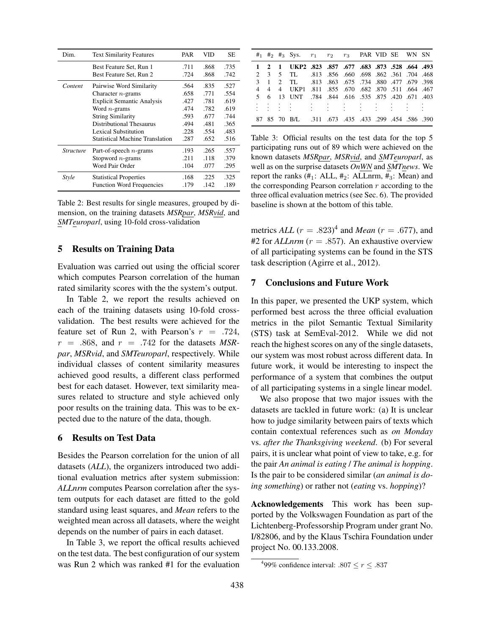| Dim.             | <b>Text Similarity Features</b>        | PAR  | VID  | SЕ   |
|------------------|----------------------------------------|------|------|------|
|                  | Best Feature Set, Run 1                | .711 | .868 | .735 |
|                  | Best Feature Set, Run 2                | .724 | .868 | .742 |
| Content          | Pairwise Word Similarity               | .564 | .835 | .527 |
|                  | Character $n$ -grams                   | .658 | .771 | .554 |
|                  | <b>Explicit Semantic Analysis</b>      | .427 | .781 | .619 |
|                  | Word $n$ -grams                        | .474 | .782 | .619 |
|                  | <b>String Similarity</b>               | .593 | .677 | .744 |
|                  | Distributional Thesaurus               | .494 | .481 | .365 |
|                  | Lexical Substitution                   | .228 | .554 | .483 |
|                  | <b>Statistical Machine Translation</b> | .287 | .652 | .516 |
| <i>Structure</i> | Part-of-speech $n$ -grams              | .193 | .265 | .557 |
|                  | Stopword $n$ -grams                    | .211 | .118 | .379 |
|                  | Word Pair Order                        | .104 | .077 | .295 |
| <b>Style</b>     | <b>Statistical Properties</b>          | .168 | .225 | .325 |
|                  | <b>Function Word Frequencies</b>       | .179 | .142 | .189 |

Table 2: Best results for single measures, grouped by dimension, on the training datasets *MSRpar*, *MSRvid*, and *SMTeuroparl*, using 10-fold cross-validation

#### 5 Results on Training Data

Evaluation was carried out using the official scorer which computes Pearson correlation of the human rated similarity scores with the the system's output.

In Table 2, we report the results achieved on each of the training datasets using 10-fold crossvalidation. The best results were achieved for the feature set of Run 2, with Pearson's  $r = .724$ .  $r = .868$ , and  $r = .742$  for the datasets *MSRpar*, *MSRvid*, and *SMTeuroparl*, respectively. While individual classes of content similarity measures achieved good results, a different class performed best for each dataset. However, text similarity measures related to structure and style achieved only poor results on the training data. This was to be expected due to the nature of the data, though.

#### 6 Results on Test Data

Besides the Pearson correlation for the union of all datasets (*ALL*), the organizers introduced two additional evaluation metrics after system submission: *ALLnrm* computes Pearson correlation after the system outputs for each dataset are fitted to the gold standard using least squares, and *Mean* refers to the weighted mean across all datasets, where the weight depends on the number of pairs in each dataset.

In Table 3, we report the offical results achieved on the test data. The best configuration of our system was Run 2 which was ranked #1 for the evaluation

|  | $#_1$ $#_2$ $#_3$ Sys. $r_1$ $r_2$ $r_3$ PAR VID SE WN SN |  |  |  |  |
|--|-----------------------------------------------------------|--|--|--|--|
|  | 1 2 1 UKP2 .823 .857 .677 .683 .873 .528 .664 .493        |  |  |  |  |
|  | 2 3 5 TL .813 .856 .660 .698 .862 .361 .704 .468          |  |  |  |  |
|  | 3 1 2 TL .813 .863 .675 .734 .880 .477 .679 .398          |  |  |  |  |
|  | 4 4 467. 511. 564 510 682. 670 682. 870 511 664 4         |  |  |  |  |
|  | 5 6 13 UNT .784 .844 .616 .535 .875 .420 .671 .403        |  |  |  |  |
|  |                                                           |  |  |  |  |
|  | 87 85 70 B/L .311 .673 .435 .433 .299 .454 .586 .390      |  |  |  |  |

Table 3: Official results on the test data for the top 5 participating runs out of 89 which were achieved on the known datasets *MSRpar*, *MSRvid*, and *SMTeuroparl*, as well as on the surprise datasets *OnWN* and *SMTnews*. We report the ranks  $(\#_1: ALL, \#_2: ALLnrm, \#_3: Mean)$  and the corresponding Pearson correlation  $r$  according to the three offical evaluation metrics (see Sec. 6). The provided baseline is shown at the bottom of this table.

metrics *ALL*  $(r = .823)^4$  and *Mean*  $(r = .677)$ , and #2 for  $ALLnrm$  ( $r = .857$ ). An exhaustive overview of all participating systems can be found in the STS task description (Agirre et al., 2012).

### 7 Conclusions and Future Work

In this paper, we presented the UKP system, which performed best across the three official evaluation metrics in the pilot Semantic Textual Similarity (STS) task at SemEval-2012. While we did not reach the highest scores on any of the single datasets, our system was most robust across different data. In future work, it would be interesting to inspect the performance of a system that combines the output of all participating systems in a single linear model.

We also propose that two major issues with the datasets are tackled in future work: (a) It is unclear how to judge similarity between pairs of texts which contain contextual references such as *on Monday* vs. *after the Thanksgiving weekend*. (b) For several pairs, it is unclear what point of view to take, e.g. for the pair *An animal is eating* / *The animal is hopping*. Is the pair to be considered similar (*an animal is doing something*) or rather not (*eating* vs. *hopping*)?

Acknowledgements This work has been supported by the Volkswagen Foundation as part of the Lichtenberg-Professorship Program under grant No. I/82806, and by the Klaus Tschira Foundation under project No. 00.133.2008.

<sup>&</sup>lt;sup>4</sup>99% confidence interval: .807  $\leq r \leq .837$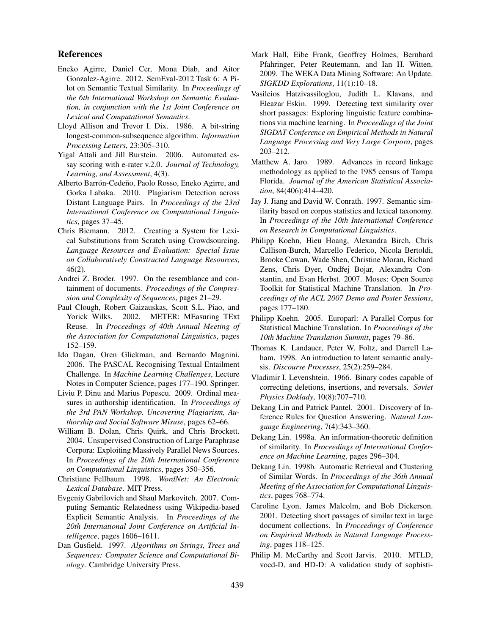#### References

- Eneko Agirre, Daniel Cer, Mona Diab, and Aitor Gonzalez-Agirre. 2012. SemEval-2012 Task 6: A Pilot on Semantic Textual Similarity. In *Proceedings of the 6th International Workshop on Semantic Evaluation, in conjunction with the 1st Joint Conference on Lexical and Computational Semantics*.
- Lloyd Allison and Trevor I. Dix. 1986. A bit-string longest-common-subsequence algorithm. *Information Processing Letters*, 23:305–310.
- Yigal Attali and Jill Burstein. 2006. Automated essay scoring with e-rater v.2.0. *Journal of Technology, Learning, and Assessment*, 4(3).
- Alberto Barrón-Cedeño, Paolo Rosso, Eneko Agirre, and Gorka Labaka. 2010. Plagiarism Detection across Distant Language Pairs. In *Proceedings of the 23rd International Conference on Computational Linguistics*, pages 37–45.
- Chris Biemann. 2012. Creating a System for Lexical Substitutions from Scratch using Crowdsourcing. *Language Resources and Evaluation: Special Issue on Collaboratively Constructed Language Resources*, 46(2).
- Andrei Z. Broder. 1997. On the resemblance and containment of documents. *Proceedings of the Compression and Complexity of Sequences*, pages 21–29.
- Paul Clough, Robert Gaizauskas, Scott S.L. Piao, and Yorick Wilks. 2002. METER: MEasuring TExt Reuse. In *Proceedings of 40th Annual Meeting of the Association for Computational Linguistics*, pages 152–159.
- Ido Dagan, Oren Glickman, and Bernardo Magnini. 2006. The PASCAL Recognising Textual Entailment Challenge. In *Machine Learning Challenges*, Lecture Notes in Computer Science, pages 177–190. Springer.
- Liviu P. Dinu and Marius Popescu. 2009. Ordinal measures in authorship identification. In *Proceedings of the 3rd PAN Workshop. Uncovering Plagiarism, Authorship and Social Software Misuse*, pages 62–66.
- William B. Dolan, Chris Quirk, and Chris Brockett. 2004. Unsupervised Construction of Large Paraphrase Corpora: Exploiting Massively Parallel News Sources. In *Proceedings of the 20th International Conference on Computational Linguistics*, pages 350–356.
- Christiane Fellbaum. 1998. *WordNet: An Electronic Lexical Database*. MIT Press.
- Evgeniy Gabrilovich and Shaul Markovitch. 2007. Computing Semantic Relatedness using Wikipedia-based Explicit Semantic Analysis. In *Proceedings of the 20th International Joint Conference on Artificial Intelligence*, pages 1606–1611.
- Dan Gusfield. 1997. *Algorithms on Strings, Trees and Sequences: Computer Science and Computational Biology*. Cambridge University Press.
- Mark Hall, Eibe Frank, Geoffrey Holmes, Bernhard Pfahringer, Peter Reutemann, and Ian H. Witten. 2009. The WEKA Data Mining Software: An Update. *SIGKDD Explorations*, 11(1):10–18.
- Vasileios Hatzivassiloglou, Judith L. Klavans, and Eleazar Eskin. 1999. Detecting text similarity over short passages: Exploring linguistic feature combinations via machine learning. In *Proceedings of the Joint SIGDAT Conference on Empirical Methods in Natural Language Processing and Very Large Corpora*, pages 203–212.
- Matthew A. Jaro. 1989. Advances in record linkage methodology as applied to the 1985 census of Tampa Florida. *Journal of the American Statistical Association*, 84(406):414–420.
- Jay J. Jiang and David W. Conrath. 1997. Semantic similarity based on corpus statistics and lexical taxonomy. In *Proceedings of the 10th International Conference on Research in Computational Linguistics*.
- Philipp Koehn, Hieu Hoang, Alexandra Birch, Chris Callison-Burch, Marcello Federico, Nicola Bertoldi, Brooke Cowan, Wade Shen, Christine Moran, Richard Zens, Chris Dyer, Ondřej Bojar, Alexandra Constantin, and Evan Herbst. 2007. Moses: Open Source Toolkit for Statistical Machine Translation. In *Proceedings of the ACL 2007 Demo and Poster Sessions*, pages 177–180.
- Philipp Koehn. 2005. Europarl: A Parallel Corpus for Statistical Machine Translation. In *Proceedings of the 10th Machine Translation Summit*, pages 79–86.
- Thomas K. Landauer, Peter W. Foltz, and Darrell Laham. 1998. An introduction to latent semantic analysis. *Discourse Processes*, 25(2):259–284.
- Vladimir I. Levenshtein. 1966. Binary codes capable of correcting deletions, insertions, and reversals. *Soviet Physics Doklady*, 10(8):707–710.
- Dekang Lin and Patrick Pantel. 2001. Discovery of Inference Rules for Question Answering. *Natural Language Engineering*, 7(4):343–360.
- Dekang Lin. 1998a. An information-theoretic definition of similarity. In *Proceedings of International Conference on Machine Learning*, pages 296–304.
- Dekang Lin. 1998b. Automatic Retrieval and Clustering of Similar Words. In *Proceedings of the 36th Annual Meeting of the Association for Computational Linguistics*, pages 768–774.
- Caroline Lyon, James Malcolm, and Bob Dickerson. 2001. Detecting short passages of similar text in large document collections. In *Proceedings of Conference on Empirical Methods in Natural Language Processing*, pages 118–125.
- Philip M. McCarthy and Scott Jarvis. 2010. MTLD, vocd-D, and HD-D: A validation study of sophisti-